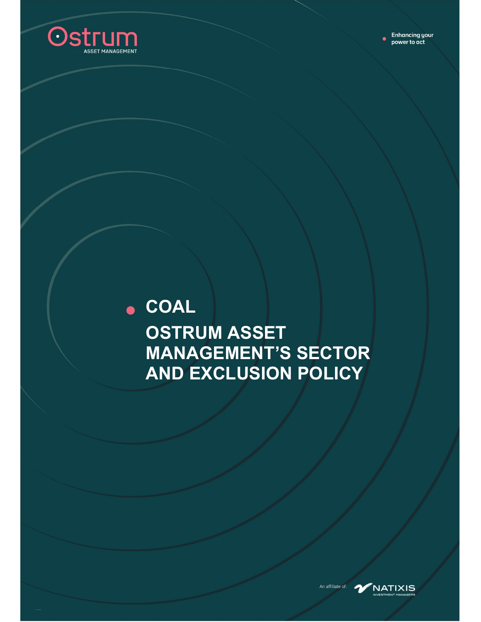

## $\bullet$  COAL **OSTRUM ASSET MANAGEMENT'S SECTOR** AND EXCLUSION POLICY



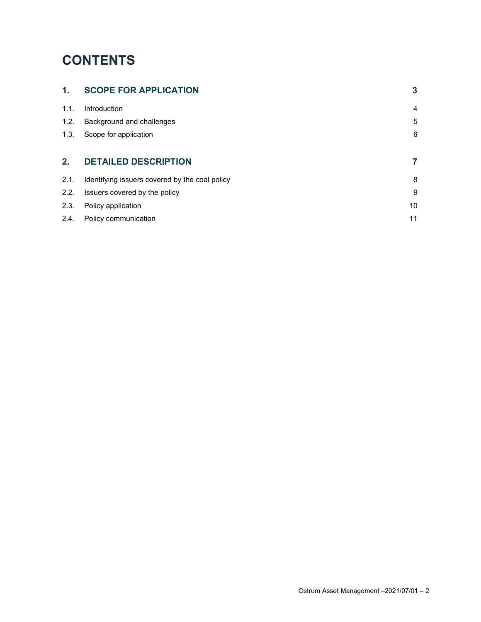### **CONTENTS**

| 1 <sub>1</sub> | <b>SCOPE FOR APPLICATION</b>                   | 3  |
|----------------|------------------------------------------------|----|
| 1.1.           | Introduction                                   | 4  |
| 1.2.           | Background and challenges                      | 5  |
| 1.3.           | Scope for application                          | 6  |
| 2.             | <b>DETAILED DESCRIPTION</b>                    | 7  |
| 2.1.           | Identifying issuers covered by the coal policy | 8  |
| 2.2.           | Issuers covered by the policy                  | 9  |
| 2.3.           | Policy application                             | 10 |
|                |                                                |    |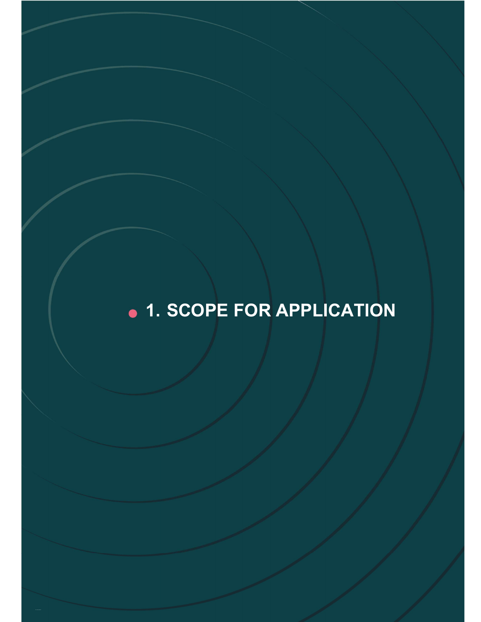# · 1. SCOPE FOR APPLICATION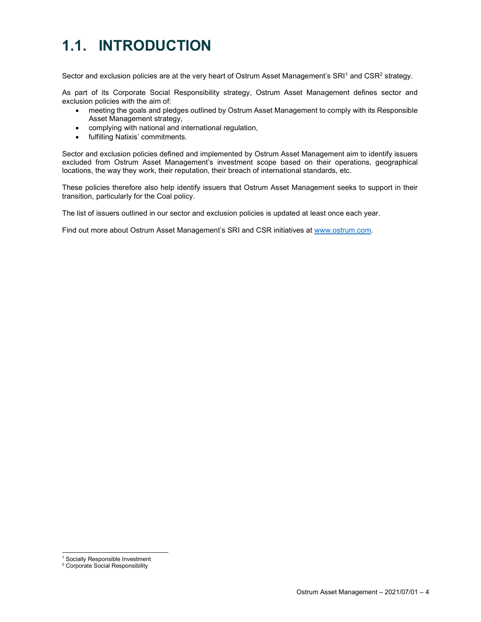## 1.1. INTRODUCTION

Sector and exclusion policies are at the very heart of Ostrum Asset Management's SRI1 and CSR<sup>2</sup> strategy.

As part of its Corporate Social Responsibility strategy, Ostrum Asset Management defines sector and exclusion policies with the aim of:

- meeting the goals and pledges outlined by Ostrum Asset Management to comply with its Responsible Asset Management strategy,
- complying with national and international regulation,
- fulfilling Natixis' commitments.

Sector and exclusion policies defined and implemented by Ostrum Asset Management aim to identify issuers excluded from Ostrum Asset Management's investment scope based on their operations, geographical locations, the way they work, their reputation, their breach of international standards, etc.

These policies therefore also help identify issuers that Ostrum Asset Management seeks to support in their transition, particularly for the Coal policy.

The list of issuers outlined in our sector and exclusion policies is updated at least once each year.

Find out more about Ostrum Asset Management's SRI and CSR initiatives at www.ostrum.com.

<sup>1</sup> Socially Responsible Investment

<sup>2</sup> Corporate Social Responsibility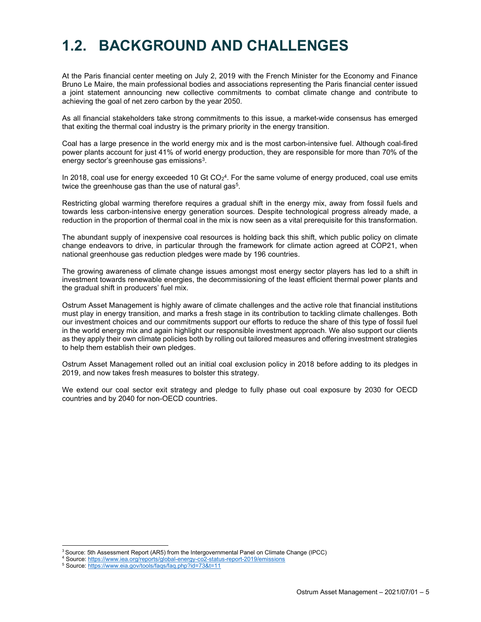### 1.2. BACKGROUND AND CHALLENGES

At the Paris financial center meeting on July 2, 2019 with the French Minister for the Economy and Finance Bruno Le Maire, the main professional bodies and associations representing the Paris financial center issued a joint statement announcing new collective commitments to combat climate change and contribute to achieving the goal of net zero carbon by the year 2050.

As all financial stakeholders take strong commitments to this issue, a market-wide consensus has emerged that exiting the thermal coal industry is the primary priority in the energy transition.

Coal has a large presence in the world energy mix and is the most carbon-intensive fuel. Although coal-fired power plants account for just 41% of world energy production, they are responsible for more than 70% of the energy sector's greenhouse gas emissions $3$ .

In 2018, coal use for energy exceeded 10 Gt CO $_{2}$ 4. For the same volume of energy produced, coal use emits twice the greenhouse gas than the use of natural gas<sup>5</sup>.

Restricting global warming therefore requires a gradual shift in the energy mix, away from fossil fuels and towards less carbon-intensive energy generation sources. Despite technological progress already made, a reduction in the proportion of thermal coal in the mix is now seen as a vital prerequisite for this transformation.

The abundant supply of inexpensive coal resources is holding back this shift, which public policy on climate change endeavors to drive, in particular through the framework for climate action agreed at COP21, when national greenhouse gas reduction pledges were made by 196 countries.

The growing awareness of climate change issues amongst most energy sector players has led to a shift in investment towards renewable energies, the decommissioning of the least efficient thermal power plants and the gradual shift in producers' fuel mix.

Ostrum Asset Management is highly aware of climate challenges and the active role that financial institutions must play in energy transition, and marks a fresh stage in its contribution to tackling climate challenges. Both our investment choices and our commitments support our efforts to reduce the share of this type of fossil fuel in the world energy mix and again highlight our responsible investment approach. We also support our clients as they apply their own climate policies both by rolling out tailored measures and offering investment strategies to help them establish their own pledges.

Ostrum Asset Management rolled out an initial coal exclusion policy in 2018 before adding to its pledges in 2019, and now takes fresh measures to bolster this strategy.

We extend our coal sector exit strategy and pledge to fully phase out coal exposure by 2030 for OECD countries and by 2040 for non-OECD countries.

<sup>&</sup>lt;sup>3</sup> Source: 5th Assessment Report (AR5) from the Intergovernmental Panel on Climate Change (IPCC)

<sup>4</sup> Source: https://www.iea.org/reports/global-energy-co2-status-report-2019/emissions

<sup>&</sup>lt;sup>5</sup> Source: https://www.eia.gov/tools/faqs/faq.php?id=73&t=11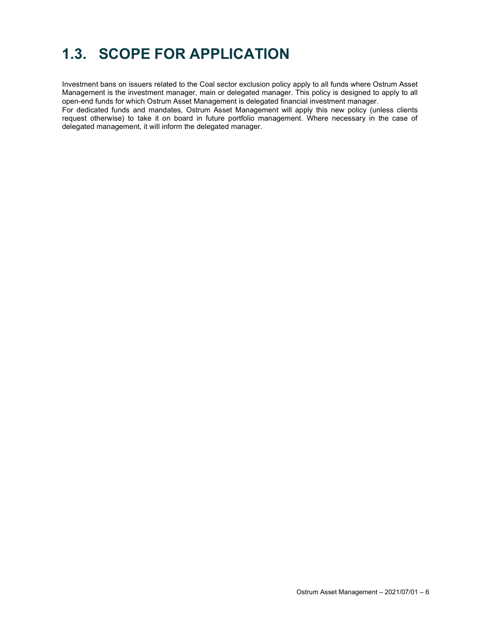## 1.3. SCOPE FOR APPLICATION

Investment bans on issuers related to the Coal sector exclusion policy apply to all funds where Ostrum Asset Management is the investment manager, main or delegated manager. This policy is designed to apply to all open-end funds for which Ostrum Asset Management is delegated financial investment manager.

For dedicated funds and mandates, Ostrum Asset Management will apply this new policy (unless clients request otherwise) to take it on board in future portfolio management. Where necessary in the case of delegated management, it will inform the delegated manager.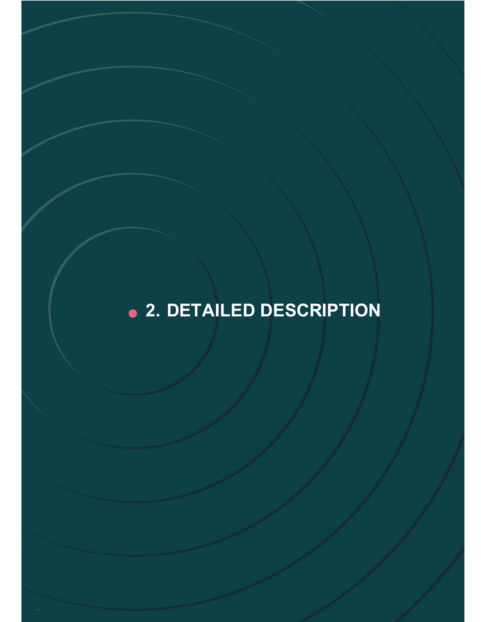# ● 2. DETAILED DESCRIPTION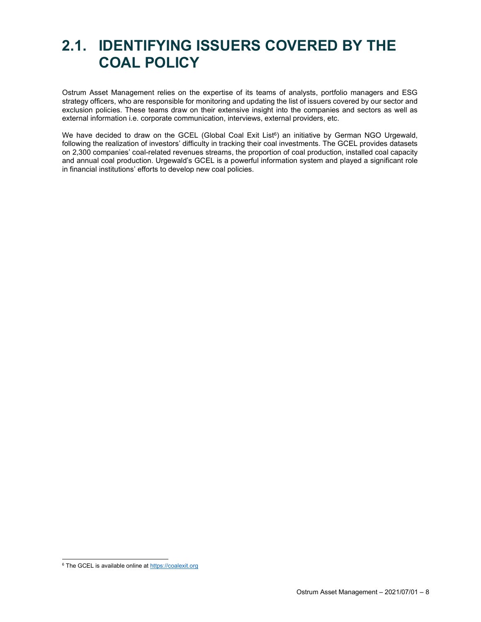### 2.1. IDENTIFYING ISSUERS COVERED BY THE COAL POLICY

Ostrum Asset Management relies on the expertise of its teams of analysts, portfolio managers and ESG strategy officers, who are responsible for monitoring and updating the list of issuers covered by our sector and exclusion policies. These teams draw on their extensive insight into the companies and sectors as well as external information i.e. corporate communication, interviews, external providers, etc.

We have decided to draw on the GCEL (Global Coal Exit List $6$ ) an initiative by German NGO Urgewald, following the realization of investors' difficulty in tracking their coal investments. The GCEL provides datasets on 2,300 companies' coal-related revenues streams, the proportion of coal production, installed coal capacity and annual coal production. Urgewald's GCEL is a powerful information system and played a significant role in financial institutions' efforts to develop new coal policies.

<sup>&</sup>lt;sup>6</sup> The GCEL is available online at https://coalexit.org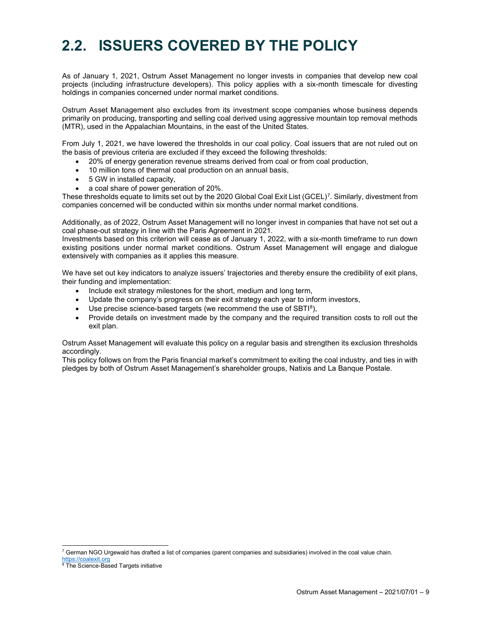### 2.2. ISSUERS COVERED BY THE POLICY

As of January 1, 2021, Ostrum Asset Management no longer invests in companies that develop new coal projects (including infrastructure developers). This policy applies with a six-month timescale for divesting holdings in companies concerned under normal market conditions.

Ostrum Asset Management also excludes from its investment scope companies whose business depends primarily on producing, transporting and selling coal derived using aggressive mountain top removal methods (MTR), used in the Appalachian Mountains, in the east of the United States.

From July 1, 2021, we have lowered the thresholds in our coal policy. Coal issuers that are not ruled out on the basis of previous criteria are excluded if they exceed the following thresholds:

- 20% of energy generation revenue streams derived from coal or from coal production,
- 10 million tons of thermal coal production on an annual basis,
- 5 GW in installed capacity,
- a coal share of power generation of 20%.

These thresholds equate to limits set out by the 2020 Global Coal Exit List (GCEL)<sup>7</sup> . Similarly, divestment from companies concerned will be conducted within six months under normal market conditions.

Additionally, as of 2022, Ostrum Asset Management will no longer invest in companies that have not set out a coal phase-out strategy in line with the Paris Agreement in 2021.

Investments based on this criterion will cease as of January 1, 2022, with a six-month timeframe to run down existing positions under normal market conditions. Ostrum Asset Management will engage and dialogue extensively with companies as it applies this measure.

We have set out key indicators to analyze issuers' trajectories and thereby ensure the credibility of exit plans, their funding and implementation:

- Include exit strategy milestones for the short, medium and long term,
- Update the company's progress on their exit strategy each year to inform investors,
- Use precise science-based targets (we recommend the use of SBTI<sup>8</sup>),
- Provide details on investment made by the company and the required transition costs to roll out the exit plan.

Ostrum Asset Management will evaluate this policy on a regular basis and strengthen its exclusion thresholds accordingly.

This policy follows on from the Paris financial market's commitment to exiting the coal industry, and ties in with pledges by both of Ostrum Asset Management's shareholder groups, Natixis and La Banque Postale.

<sup>7</sup> German NGO Urgewald has drafted a list of companies (parent companies and subsidiaries) involved in the coal value chain.

https://coalexit.org<br><sup>8</sup> The Science-Based Targets initiative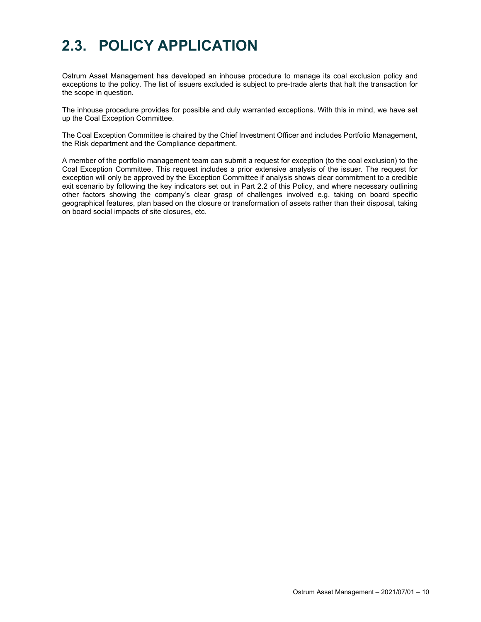### 2.3. POLICY APPLICATION

Ostrum Asset Management has developed an inhouse procedure to manage its coal exclusion policy and exceptions to the policy. The list of issuers excluded is subject to pre-trade alerts that halt the transaction for the scope in question.

The inhouse procedure provides for possible and duly warranted exceptions. With this in mind, we have set up the Coal Exception Committee.

The Coal Exception Committee is chaired by the Chief Investment Officer and includes Portfolio Management, the Risk department and the Compliance department.

A member of the portfolio management team can submit a request for exception (to the coal exclusion) to the Coal Exception Committee. This request includes a prior extensive analysis of the issuer. The request for exception will only be approved by the Exception Committee if analysis shows clear commitment to a credible exit scenario by following the key indicators set out in Part 2.2 of this Policy, and where necessary outlining other factors showing the company's clear grasp of challenges involved e.g. taking on board specific geographical features, plan based on the closure or transformation of assets rather than their disposal, taking on board social impacts of site closures, etc.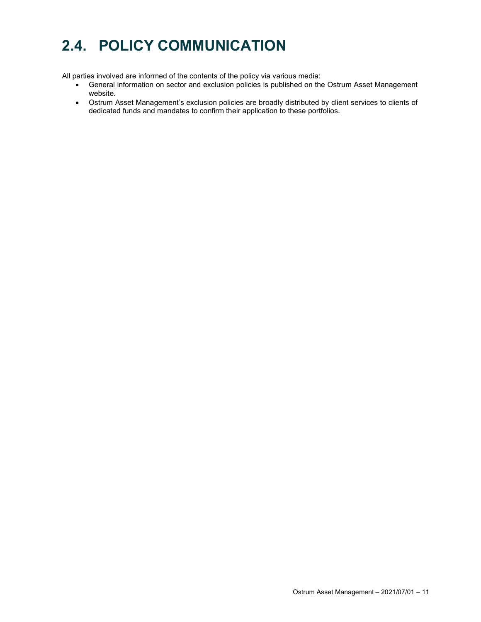## 2.4. POLICY COMMUNICATION

All parties involved are informed of the contents of the policy via various media:

- General information on sector and exclusion policies is published on the Ostrum Asset Management website.
- Ostrum Asset Management's exclusion policies are broadly distributed by client services to clients of dedicated funds and mandates to confirm their application to these portfolios.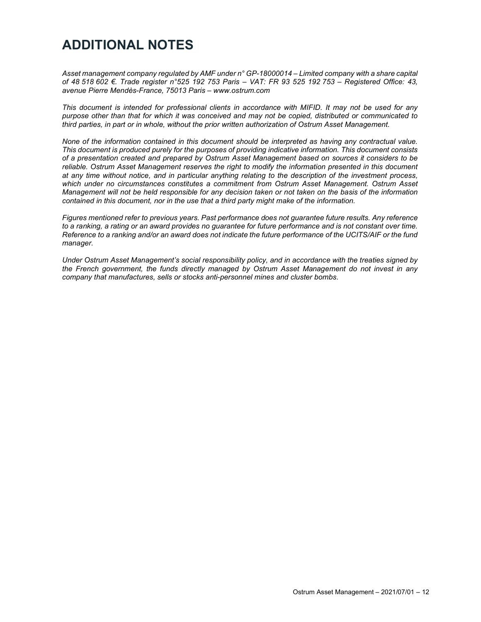#### ADDITIONAL NOTES

Asset management company regulated by AMF under n° GP-18000014 – Limited company with a share capital of 48 518 602 €. Trade register n°525 192 753 Paris – VAT: FR 93 525 192 753 – Registered Office: 43, avenue Pierre Mendès-France, 75013 Paris – www.ostrum.com

This document is intended for professional clients in accordance with MIFID. It may not be used for any purpose other than that for which it was conceived and may not be copied, distributed or communicated to third parties, in part or in whole, without the prior written authorization of Ostrum Asset Management.

None of the information contained in this document should be interpreted as having any contractual value. This document is produced purely for the purposes of providing indicative information. This document consists of a presentation created and prepared by Ostrum Asset Management based on sources it considers to be reliable. Ostrum Asset Management reserves the right to modify the information presented in this document at any time without notice, and in particular anything relating to the description of the investment process, which under no circumstances constitutes a commitment from Ostrum Asset Management. Ostrum Asset Management will not be held responsible for any decision taken or not taken on the basis of the information contained in this document, nor in the use that a third party might make of the information.

Figures mentioned refer to previous years. Past performance does not guarantee future results. Any reference to a ranking, a rating or an award provides no guarantee for future performance and is not constant over time. Reference to a ranking and/or an award does not indicate the future performance of the UCITS/AIF or the fund manager.

Under Ostrum Asset Management's social responsibility policy, and in accordance with the treaties signed by the French government, the funds directly managed by Ostrum Asset Management do not invest in any company that manufactures, sells or stocks anti-personnel mines and cluster bombs.